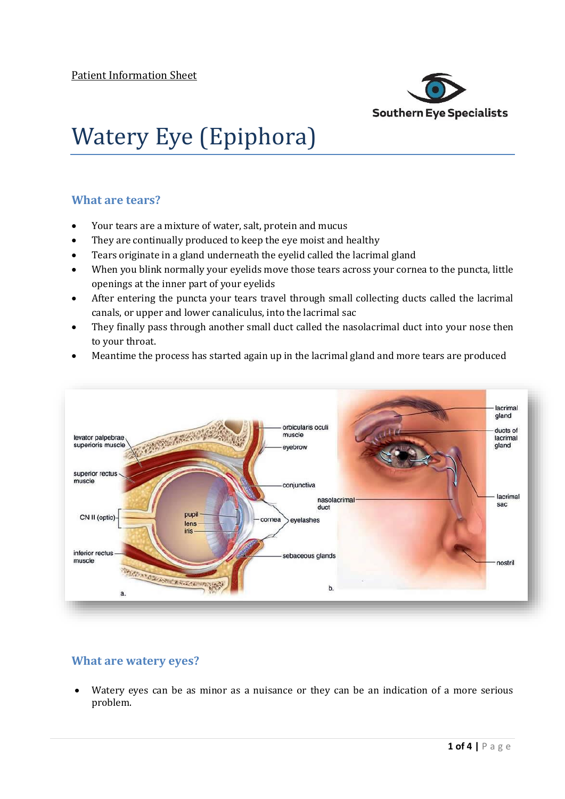

# Watery Eye (Epiphora)

## **What are tears?**

- Your tears are a mixture of water, salt, protein and mucus
- They are continually produced to keep the eye moist and healthy
- Tears originate in a gland underneath the eyelid called the lacrimal gland
- When you blink normally your eyelids move those tears across your cornea to the puncta, little openings at the inner part of your eyelids
- After entering the puncta your tears travel through small collecting ducts called the lacrimal canals, or upper and lower canaliculus, into the lacrimal sac
- They finally pass through another small duct called the nasolacrimal duct into your nose then to your throat.
- Meantime the process has started again up in the lacrimal gland and more tears are produced



## **What are watery eyes?**

 Watery eyes can be as minor as a nuisance or they can be an indication of a more serious problem.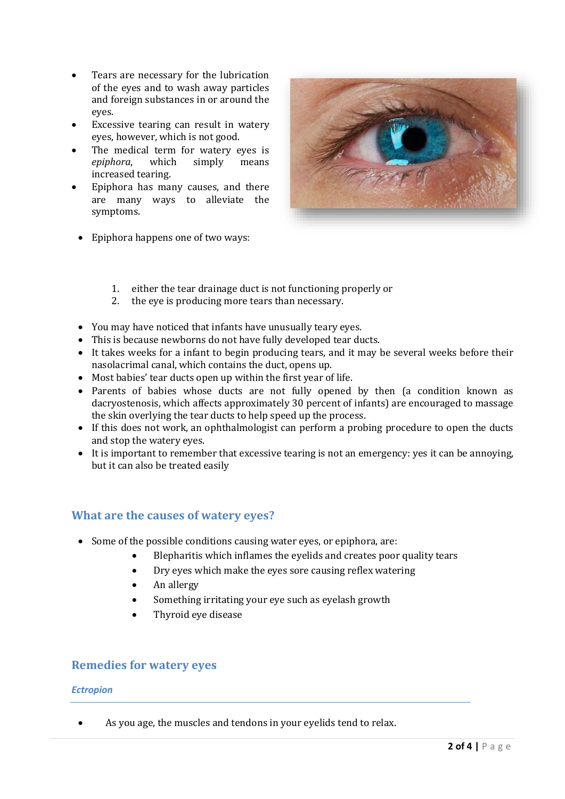- Tears are necessary for the lubrication of the eyes and to wash away particles and foreign substances in or around the eyes.
- Excessive tearing can result in watery eyes, however, which is not good.
- The medical term for watery eyes is *epiphora*, which simply means increased tearing.
- Epiphora has many causes, and there are many ways to alleviate the symptoms.



- Epiphora happens one of two ways:
	- 1. either the tear drainage duct is not functioning properly or
	- 2. the eye is producing more tears than necessary.
- You may have noticed that infants have unusually teary eyes.
- This is because newborns do not have fully developed tear ducts.
- It takes weeks for a infant to begin producing tears, and it may be several weeks before their nasolacrimal canal, which contains the duct, opens up.
- Most babies' tear ducts open up within the first year of life.
- Parents of babies whose ducts are not fully opened by then (a condition known as dacryostenosis, which affects approximately 30 percent of infants) are encouraged to massage the skin overlying the tear ducts to help speed up the process.
- If this does not work, an ophthalmologist can perform a probing procedure to open the ducts and stop the watery eyes.
- It is important to remember that excessive tearing is not an emergency: yes it can be annoying, but it can also be treated easily

## **What are the causes of watery eyes?**

- Some of the possible conditions causing water eyes, or epiphora, are:
	- Blepharitis which inflames the eyelids and creates poor quality tears
	- Dry eyes which make the eyes sore causing reflex watering
	- An allergy
	- Something irritating your eye such as eyelash growth
	- Thyroid eye disease

#### **Remedies for watery eyes**

#### *Ectropion*

As you age, the muscles and tendons in your eyelids tend to relax.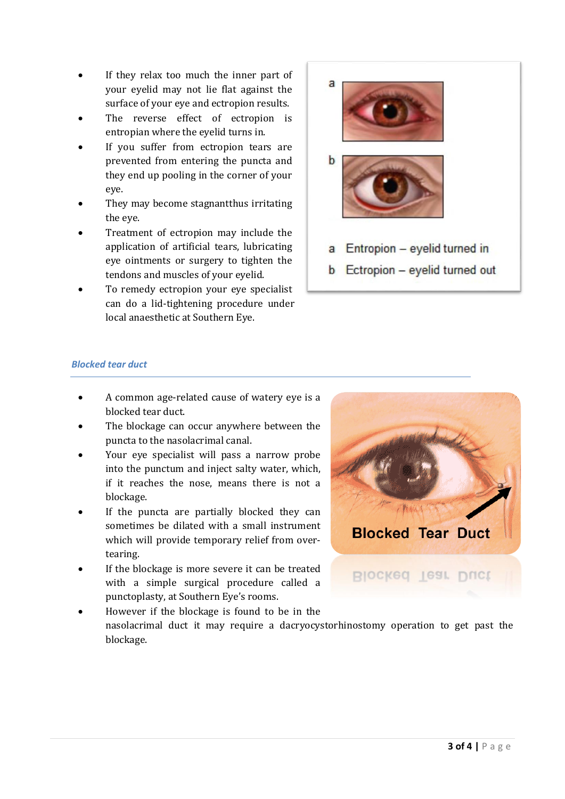- If they relax too much the inner part of your eyelid may not lie flat against the surface of your eye and ectropion results.
- The reverse effect of ectropion is entropian where the eyelid turns in.
- If you suffer from ectropion tears are prevented from entering the puncta and they end up pooling in the corner of your eye.
- They may become stagnantthus irritating the eye.
- Treatment of ectropion may include the application of artificial tears, lubricating eye ointments or surgery to tighten the tendons and muscles of your eyelid.
- To remedy ectropion your eye specialist can do a lid-tightening procedure under local anaesthetic at Southern Eye.



#### *Blocked tear duct*

- A common age-related cause of watery eye is a blocked tear duct.
- The blockage can occur anywhere between the puncta to the nasolacrimal canal.
- Your eye specialist will pass a narrow probe into the punctum and inject salty water, which, if it reaches the nose, means there is not a blockage.
- If the puncta are partially blocked they can sometimes be dilated with a small instrument which will provide temporary relief from overtearing.
- If the blockage is more severe it can be treated with a simple surgical procedure called a punctoplasty, at Southern Eye's rooms.



 However if the blockage is found to be in the nasolacrimal duct it may require a dacryocystorhinostomy operation to get past the blockage.